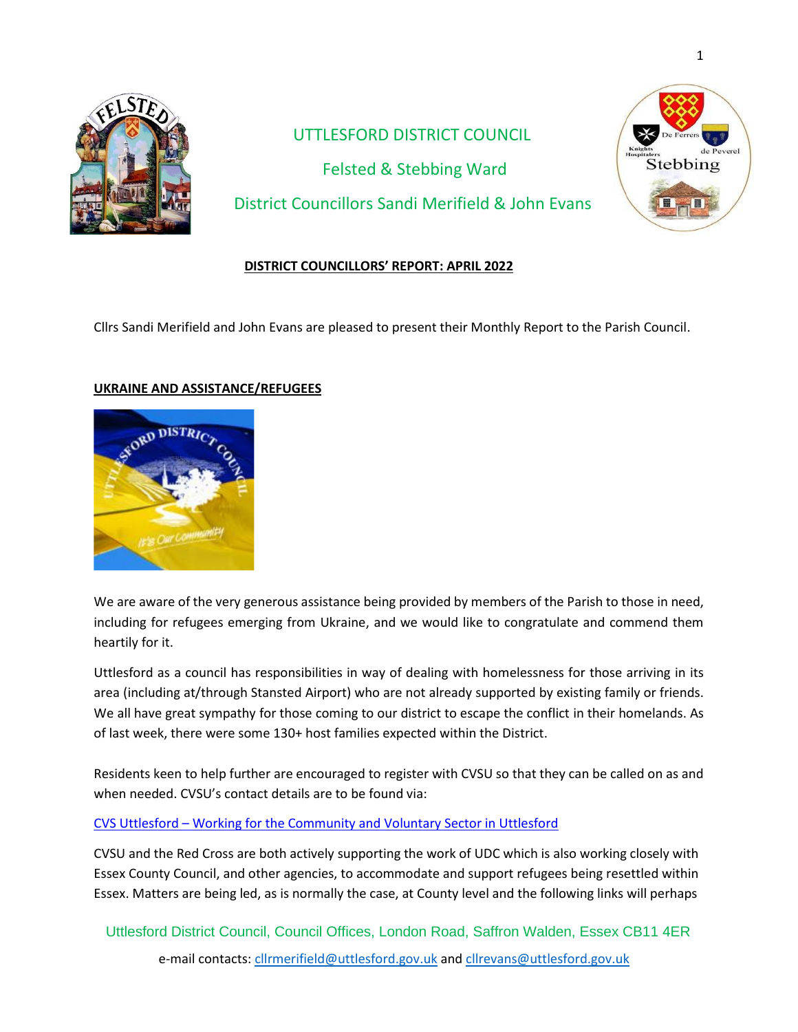

# UTTLESFORD DISTRICT COUNCIL Felsted & Stebbing Ward District Councillors Sandi Merifield & John Evans



## **DISTRICT COUNCILLORS' REPORT: APRIL 2022**

Cllrs Sandi Merifield and John Evans are pleased to present their Monthly Report to the Parish Council.

## **UKRAINE AND ASSISTANCE/REFUGEES**



We are aware of the very generous assistance being provided by members of the Parish to those in need, including for refugees emerging from Ukraine, and we would like to congratulate and commend them heartily for it.

Uttlesford as a council has responsibilities in way of dealing with homelessness for those arriving in its area (including at/through Stansted Airport) who are not already supported by existing family or friends. We all have great sympathy for those coming to our district to escape the conflict in their homelands. As of last week, there were some 130+ host families expected within the District.

Residents keen to help further are encouraged to register with CVSU so that they can be called on as and when needed. CVSU's contact details are to be found via:

CVS Uttlesford – [Working for the Community and Voluntary Sector in Uttlesford](https://cvsu.org.uk/)

CVSU and the Red Cross are both actively supporting the work of UDC which is also working closely with Essex County Council, and other agencies, to accommodate and support refugees being resettled within Essex. Matters are being led, as is normally the case, at County level and the following links will perhaps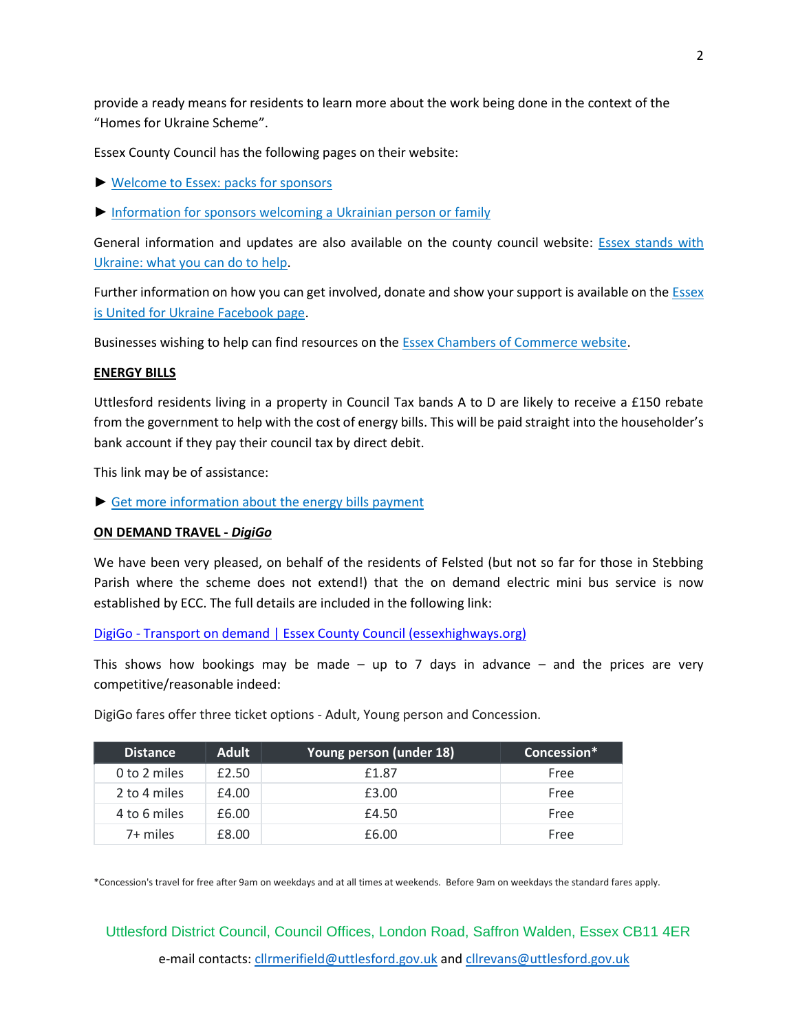provide a ready means for residents to learn more about the work being done in the context of the "Homes for Ukraine Scheme".

Essex County Council has the following pages on their website:

- ► [Welcome to Essex: packs for sponsors](https://lnks.gd/l/eyJhbGciOiJIUzI1NiJ9.eyJidWxsZXRpbl9saW5rX2lkIjoxMDIsInVyaSI6ImJwMjpjbGljayIsImJ1bGxldGluX2lkIjoiMjAyMjA0MDQuNTU4ODA4ODEiLCJ1cmwiOiJodHRwczovL3d3dy5lc3NleC5nb3YudWsvbmV3cy93ZWxjb21lLXRvLWVzc2V4LXBhY2tzLWZvci1zcG9uc29ycz91dG1fbWVkaXVtPWVtYWlsJnV0bV9zb3VyY2U9Z292ZGVsaXZlcnkifQ.O4XWdn2I5vi00ya-FxSmaUxXjUcN-V7lskiQ--qU7ic/s/691480961/br/129254291282-l)
- ► [Information for sponsors welcoming a Ukrainian person or family](https://lnks.gd/l/eyJhbGciOiJIUzI1NiJ9.eyJidWxsZXRpbl9saW5rX2lkIjoxMDMsInVyaSI6ImJwMjpjbGljayIsImJ1bGxldGluX2lkIjoiMjAyMjA0MDQuNTU4ODA4ODEiLCJ1cmwiOiJodHRwczovL3d3dy5lc3NleC5nb3YudWsvbmV3cy9pbmZvcm1hdGlvbi1mb3Itc3BvbnNvcnMtd2VsY29taW5nLWEtdWtyYWluaWFuLXBlcnNvbi1vci1mYW1pbHk_dXRtX21lZGl1bT1lbWFpbCZ1dG1fc291cmNlPWdvdmRlbGl2ZXJ5In0.pKf5HtYOmbu9tRFIFd4-krDAbLgiWG6WWjq2w2cAq3w/s/691480961/br/129254291282-l)

General information and updates are also available on the county council website: **Essex stands with** [Ukraine: what you can do to help.](https://lnks.gd/l/eyJhbGciOiJIUzI1NiJ9.eyJidWxsZXRpbl9saW5rX2lkIjoxMDQsInVyaSI6ImJwMjpjbGljayIsImJ1bGxldGluX2lkIjoiMjAyMjA0MDQuNTU4ODA4ODEiLCJ1cmwiOiJodHRwczovL3d3dy5lc3NleC5nb3YudWsvbmV3cy9lc3NleC1zdGFuZHMtd2l0aC11a3JhaW5lLXdoYXQteW91LWNhbi1kby10by1oZWxwP3V0bV9tZWRpdW09ZW1haWwmdXRtX3NvdXJjZT1nb3ZkZWxpdmVyeSJ9.ujY6ROybNtB1QHtZvf2OQrFLsQbB3IgD9uWRlTpk4gY/s/691480961/br/129254291282-l)

Further information on how you can get involved, donate and show your support is available on the **ESSEX** [is United for Ukraine](https://lnks.gd/l/eyJhbGciOiJIUzI1NiJ9.eyJidWxsZXRpbl9saW5rX2lkIjoxMDUsInVyaSI6ImJwMjpjbGljayIsImJ1bGxldGluX2lkIjoiMjAyMjA0MDQuNTU4ODA4ODEiLCJ1cmwiOiJodHRwOi8vd3d3LmZhY2Vib29rLmNvbS9ncm91cHMvZWl1Zm9ydWtyYWluZT91dG1fbWVkaXVtPWVtYWlsJnV0bV9zb3VyY2U9Z292ZGVsaXZlcnkifQ.v61kKv7J34Mn8mBOCM0hTtfor62KnVT4H-suDiXn6GU/s/691480961/br/129254291282-l) Facebook page.

Businesses wishing to help can find resources on th[e Essex Chambers of Commerce website.](https://lnks.gd/l/eyJhbGciOiJIUzI1NiJ9.eyJidWxsZXRpbl9saW5rX2lkIjoxMDYsInVyaSI6ImJwMjpjbGljayIsImJ1bGxldGluX2lkIjoiMjAyMjA0MDQuNTU4ODA4ODEiLCJ1cmwiOiJodHRwczovL3d3dy5lc3NleGNoYW1iZXJzLmNvLnVrL3VrcmFpbmVfY3Jpc2lzX2d1aWRhbmNlLmh0bT91dG1fbWVkaXVtPWVtYWlsJnV0bV9zb3VyY2U9Z292ZGVsaXZlcnkifQ.MpqE3WNVxO7wZ71DQWyyzQOeId2jBW5yRUwoxqn9Fnk/s/691480961/br/129254291282-l)

#### **ENERGY BILLS**

Uttlesford residents living in a property in Council Tax bands A to D are likely to receive a £150 rebate from the government to help with the cost of energy bills. This will be paid straight into the householder's bank account if they pay their council tax by direct debit.

This link may be of assistance:

► [Get more information about the energy bills payment](https://lnks.gd/l/eyJhbGciOiJIUzI1NiJ9.eyJidWxsZXRpbl9saW5rX2lkIjoxMDcsInVyaSI6ImJwMjpjbGljayIsImJ1bGxldGluX2lkIjoiMjAyMjA0MDQuNTU4ODA4ODEiLCJ1cmwiOiJodHRwczovL3d3dy51dHRsZXNmb3JkLmdvdi51ay9lbmVyZ3ktYmlsbHMtcmViYXRlP3V0bV9tZWRpdW09ZW1haWwmdXRtX3NvdXJjZT1nb3ZkZWxpdmVyeSJ9.aJyjE7FTxpr6pX5gb0AQzPGfH-VcR3DuVqb14RT3De4/s/691480961/br/129254291282-l)

#### **ON DEMAND TRAVEL -** *DigiGo*

We have been very pleased, on behalf of the residents of Felsted (but not so far for those in Stebbing Parish where the scheme does not extend!) that the on demand electric mini bus service is now established by ECC. The full details are included in the following link:

DigiGo - [Transport on demand | Essex County Council \(essexhighways.org\)](https://www.essexhighways.org/getting-around/ddrtdigigo/digigo)

This shows how bookings may be made – up to 7 days in advance – and the prices are very competitive/reasonable indeed:

| <b>Distance</b> | <b>Adult</b> | Young person (under 18) | Concession* |
|-----------------|--------------|-------------------------|-------------|
| 0 to 2 miles    | £2.50        | £1.87                   | Free        |
| 2 to 4 miles    | £4.00        | £3.00                   | Free        |
| 4 to 6 miles    | £6.00        | £4.50                   | Free        |
| 7+ miles        | £8.00        | £6.00                   | Free        |

DigiGo fares offer three ticket options - Adult, Young person and Concession.

\*Concession's travel for free after 9am on weekdays and at all times at weekends. Before 9am on weekdays the standard fares apply.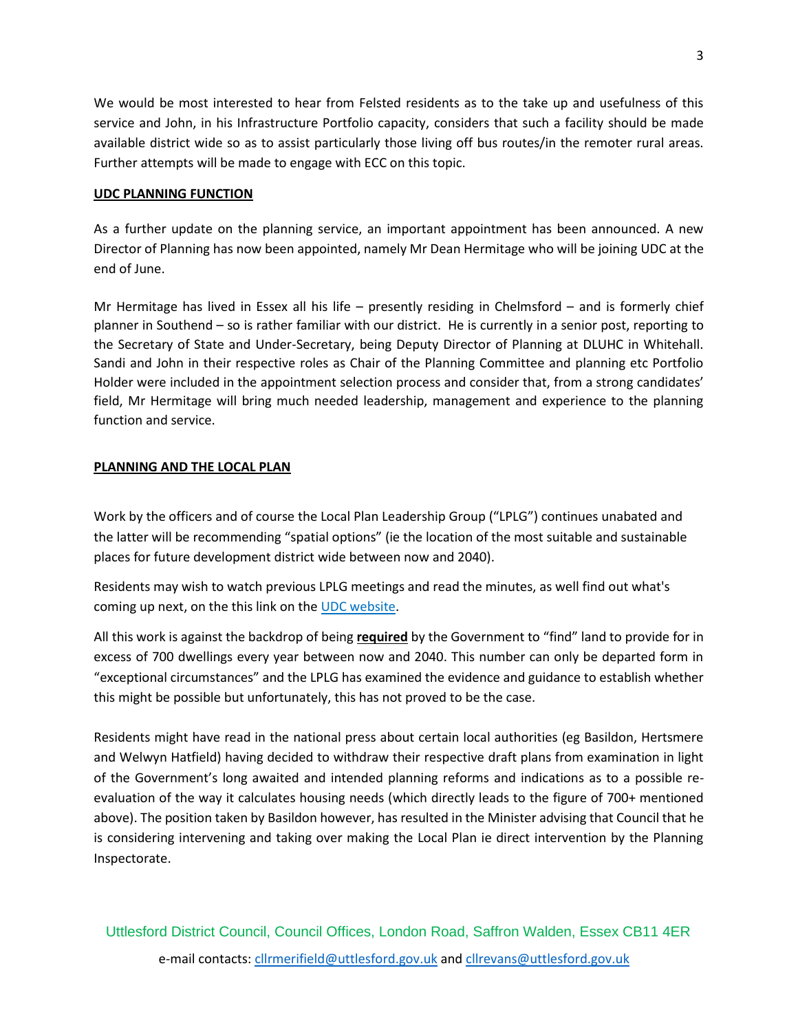We would be most interested to hear from Felsted residents as to the take up and usefulness of this service and John, in his Infrastructure Portfolio capacity, considers that such a facility should be made available district wide so as to assist particularly those living off bus routes/in the remoter rural areas. Further attempts will be made to engage with ECC on this topic.

#### **UDC PLANNING FUNCTION**

As a further update on the planning service, an important appointment has been announced. A new Director of Planning has now been appointed, namely Mr Dean Hermitage who will be joining UDC at the end of June.

Mr Hermitage has lived in Essex all his life – presently residing in Chelmsford – and is formerly chief planner in Southend – so is rather familiar with our district. He is currently in a senior post, reporting to the Secretary of State and Under-Secretary, being Deputy Director of Planning at DLUHC in Whitehall. Sandi and John in their respective roles as Chair of the Planning Committee and planning etc Portfolio Holder were included in the appointment selection process and consider that, from a strong candidates' field, Mr Hermitage will bring much needed leadership, management and experience to the planning function and service.

#### **PLANNING AND THE LOCAL PLAN**

Work by the officers and of course the Local Plan Leadership Group ("LPLG") continues unabated and the latter will be recommending "spatial options" (ie the location of the most suitable and sustainable places for future development district wide between now and 2040).

Residents may wish to watch previous LPLG meetings and read the minutes, as well find out what's coming up next, on the this link on the [UDC website.](https://lnks.gd/l/eyJhbGciOiJIUzI1NiJ9.eyJidWxsZXRpbl9saW5rX2lkIjoxMDEsInVyaSI6ImJwMjpjbGljayIsImJ1bGxldGluX2lkIjoiMjAyMjAzMzAuNTU2NDg3OTEiLCJ1cmwiOiJodHRwczovL3V0dGxlc2ZvcmQubW9kZXJuZ292LmNvLnVrL21nQ29tbWl0dGVlRGV0YWlscy5hc3B4P0lEPTUxMCZ1dG1fbWVkaXVtPWVtYWlsJnV0bV9zb3VyY2U9Z292ZGVsaXZlcnkifQ.0gjflNdVYisWopidqg__y0k8KyLsPsmRW9tgpPyxTro/s/986983849/br/128835418784-l)

All this work is against the backdrop of being **required** by the Government to "find" land to provide for in excess of 700 dwellings every year between now and 2040. This number can only be departed form in "exceptional circumstances" and the LPLG has examined the evidence and guidance to establish whether this might be possible but unfortunately, this has not proved to be the case.

Residents might have read in the national press about certain local authorities (eg Basildon, Hertsmere and Welwyn Hatfield) having decided to withdraw their respective draft plans from examination in light of the Government's long awaited and intended planning reforms and indications as to a possible reevaluation of the way it calculates housing needs (which directly leads to the figure of 700+ mentioned above). The position taken by Basildon however, has resulted in the Minister advising that Council that he is considering intervening and taking over making the Local Plan ie direct intervention by the Planning Inspectorate.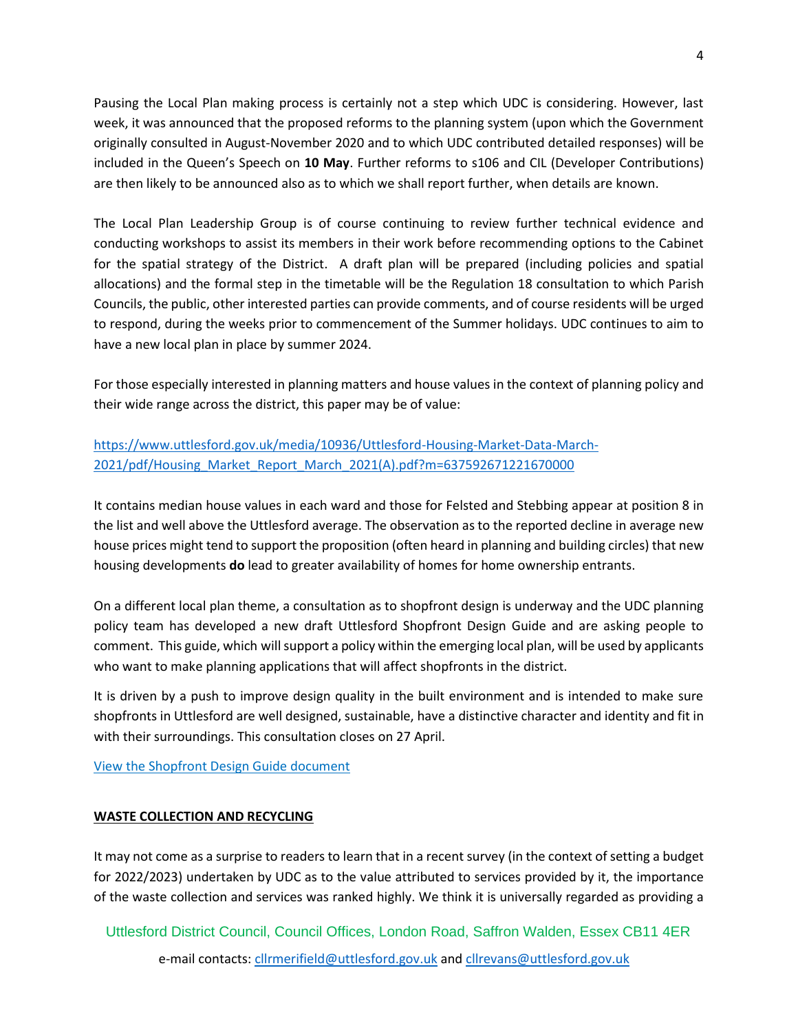Pausing the Local Plan making process is certainly not a step which UDC is considering. However, last week, it was announced that the proposed reforms to the planning system (upon which the Government originally consulted in August-November 2020 and to which UDC contributed detailed responses) will be included in the Queen's Speech on **10 May**. Further reforms to s106 and CIL (Developer Contributions) are then likely to be announced also as to which we shall report further, when details are known.

The Local Plan Leadership Group is of course continuing to review further technical evidence and conducting workshops to assist its members in their work before recommending options to the Cabinet for the spatial strategy of the District. A draft plan will be prepared (including policies and spatial allocations) and the formal step in the timetable will be the Regulation 18 consultation to which Parish Councils, the public, other interested parties can provide comments, and of course residents will be urged to respond, during the weeks prior to commencement of the Summer holidays. UDC continues to aim to have a new local plan in place by summer 2024.

For those especially interested in planning matters and house values in the context of planning policy and their wide range across the district, this paper may be of value:

## [https://www.uttlesford.gov.uk/media/10936/Uttlesford-Housing-Market-Data-March-](https://www.uttlesford.gov.uk/media/10936/Uttlesford-Housing-Market-Data-March-2021/pdf/Housing_Market_Report_March_2021(A).pdf?m=637592671221670000)[2021/pdf/Housing\\_Market\\_Report\\_March\\_2021\(A\).pdf?m=637592671221670000](https://www.uttlesford.gov.uk/media/10936/Uttlesford-Housing-Market-Data-March-2021/pdf/Housing_Market_Report_March_2021(A).pdf?m=637592671221670000)

It contains median house values in each ward and those for Felsted and Stebbing appear at position 8 in the list and well above the Uttlesford average. The observation as to the reported decline in average new house prices might tend to support the proposition (often heard in planning and building circles) that new housing developments **do** lead to greater availability of homes for home ownership entrants.

On a different local plan theme, a consultation as to shopfront design is underway and the UDC planning policy team has developed a new draft Uttlesford Shopfront Design Guide and are asking people to comment. This guide, which will support a policy within the emerging local plan, will be used by applicants who want to make planning applications that will affect shopfronts in the district.

It is driven by a push to improve design quality in the built environment and is intended to make sure shopfronts in Uttlesford are well designed, sustainable, have a distinctive character and identity and fit in with their surroundings. This consultation closes on 27 April.

## [View the Shopfront Design Guide document](https://lnks.gd/l/eyJhbGciOiJIUzI1NiJ9.eyJidWxsZXRpbl9saW5rX2lkIjoxMDIsInVyaSI6ImJwMjpjbGljayIsImJ1bGxldGluX2lkIjoiMjAyMjAzMzAuNTU2NDg3OTEiLCJ1cmwiOiJodHRwczovL3d3dy51dHRsZXNmb3JkLmdvdi51ay9tZWRpYS8xMTI5NS9VdHRsZXNmb3JkLVNob3Bmcm9udC1EZXNpZ24tR3VpZGUvcGRmL1Nob3Bmcm9udF9EZXNpZ25fR3VpZGVBLnBkZj9tPTYzNzgwMDkzNzgyNzYwMDAwMCZ1dG1fbWVkaXVtPWVtYWlsJnV0bV9zb3VyY2U9Z292ZGVsaXZlcnkifQ.Ba8VwNK53YAENIBGucebDFueYuqW0y7sgMuMGnr8QmQ/s/986983849/br/128835418784-l)

## **WASTE COLLECTION AND RECYCLING**

It may not come as a surprise to readers to learn that in a recent survey (in the context of setting a budget for 2022/2023) undertaken by UDC as to the value attributed to services provided by it, the importance of the waste collection and services was ranked highly. We think it is universally regarded as providing a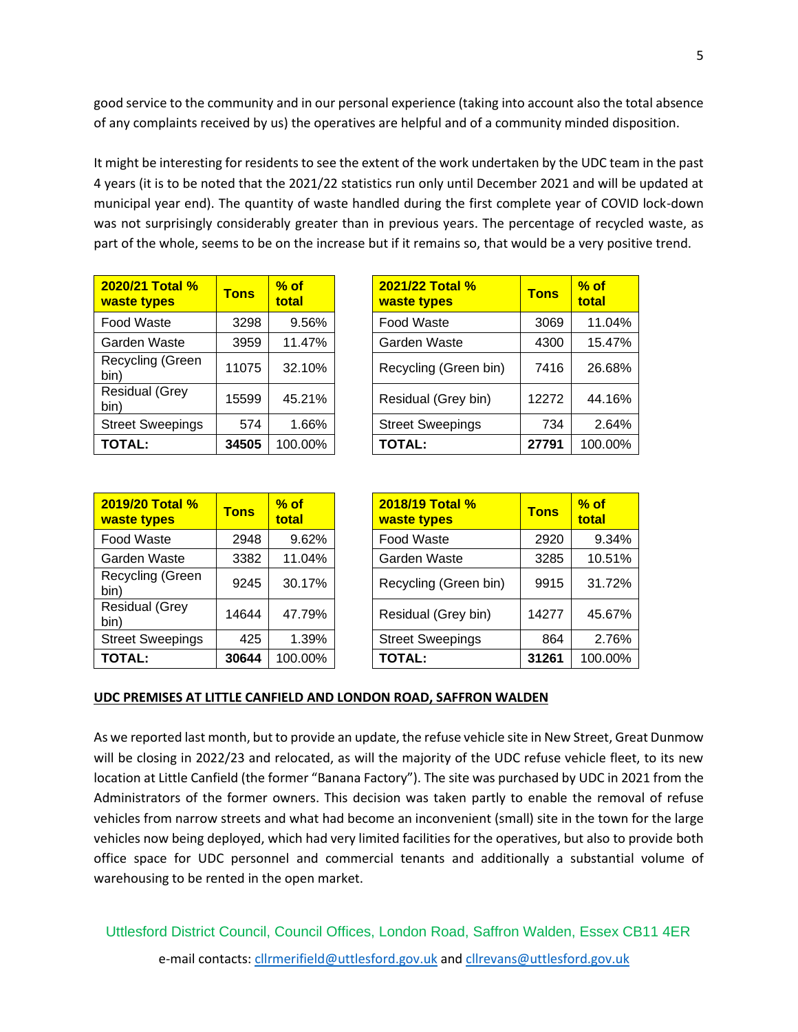good service to the community and in our personal experience (taking into account also the total absence of any complaints received by us) the operatives are helpful and of a community minded disposition.

It might be interesting for residents to see the extent of the work undertaken by the UDC team in the past 4 years (it is to be noted that the 2021/22 statistics run only until December 2021 and will be updated at municipal year end). The quantity of waste handled during the first complete year of COVID lock-down was not surprisingly considerably greater than in previous years. The percentage of recycled waste, as part of the whole, seems to be on the increase but if it remains so, that would be a very positive trend.

| <b>2020/21 Total %</b><br>waste types | <b>Tons</b> | $%$ of<br>total |
|---------------------------------------|-------------|-----------------|
| Food Waste                            | 3298        | 9.56%           |
| Garden Waste                          | 3959        | 11.47%          |
| Recycling (Green<br>bin)              | 11075       | 32.10%          |
| <b>Residual (Grey</b><br>bin)         | 15599       | 45.21%          |
| <b>Street Sweepings</b>               | 574         | 1.66%           |
| <b>TOTAL:</b>                         | 34505       | 100.00%         |

| 2020/21 Total %<br>waste types | <b>Tons</b> | $%$ of<br>total | 2021/22 Total %<br>waste types | <b>Tons</b> | $%$ of<br>total |
|--------------------------------|-------------|-----------------|--------------------------------|-------------|-----------------|
| Food Waste                     | 3298        | 9.56%           | Food Waste                     | 3069        | 11.04%          |
| Garden Waste                   | 3959        | 11.47%          | Garden Waste                   | 4300        | 15.47%          |
| Recycling (Green<br>bin)       | 11075       | 32.10%          | Recycling (Green bin)          | 7416        | 26.68%          |
| <b>Residual (Grey</b><br>bin)  | 15599       | 45.21%          | Residual (Grey bin)            | 12272       | 44.16%          |
| <b>Street Sweepings</b>        | 574         | 1.66%           | <b>Street Sweepings</b>        | 734         | 2.64%           |
| TOTAL:                         | 34505       | 100.00%         | <b>TOTAL:</b>                  | 27791       | 100.00%         |

| 2019/20 Total %<br>waste types | <b>Tons</b> | $%$ of<br>total |
|--------------------------------|-------------|-----------------|
| <b>Food Waste</b>              | 2948        | 9.62%           |
| Garden Waste                   | 3382        | 11.04%          |
| Recycling (Green<br>bin)       | 9245        | 30.17%          |
| <b>Residual (Grey</b><br>bin)  | 14644       | 47.79%          |
| <b>Street Sweepings</b>        | 425         | 1.39%           |
| <b>TOTAL:</b>                  | 30644       | 100.00%         |

| 2019/20 Total %<br>waste types | <b>Tons</b> | $%$ of<br>total | 2018/19 Total %<br>waste types | <b>Tons</b> | $%$ of<br>total |
|--------------------------------|-------------|-----------------|--------------------------------|-------------|-----------------|
| Food Waste                     | 2948        | 9.62%           | Food Waste                     | 2920        | 9.34%           |
| Garden Waste                   | 3382        | 11.04%          | Garden Waste                   | 3285        | 10.51%          |
| Recycling (Green<br>bin)       | 9245        | 30.17%          | Recycling (Green bin)          | 9915        | 31.72%          |
| <b>Residual (Grey</b><br>bin)  | 14644       | 47.79%          | Residual (Grey bin)            | 14277       | 45.67%          |
| <b>Street Sweepings</b>        | 425         | 1.39%           | <b>Street Sweepings</b>        | 864         | 2.76%           |
| TOTAL:                         | 30644       | 100.00%         | <b>TOTAL:</b>                  | 31261       | 100.00%         |

#### **UDC PREMISES AT LITTLE CANFIELD AND LONDON ROAD, SAFFRON WALDEN**

As we reported last month, but to provide an update, the refuse vehicle site in New Street, Great Dunmow will be closing in 2022/23 and relocated, as will the majority of the UDC refuse vehicle fleet, to its new location at Little Canfield (the former "Banana Factory"). The site was purchased by UDC in 2021 from the Administrators of the former owners. This decision was taken partly to enable the removal of refuse vehicles from narrow streets and what had become an inconvenient (small) site in the town for the large vehicles now being deployed, which had very limited facilities for the operatives, but also to provide both office space for UDC personnel and commercial tenants and additionally a substantial volume of warehousing to be rented in the open market.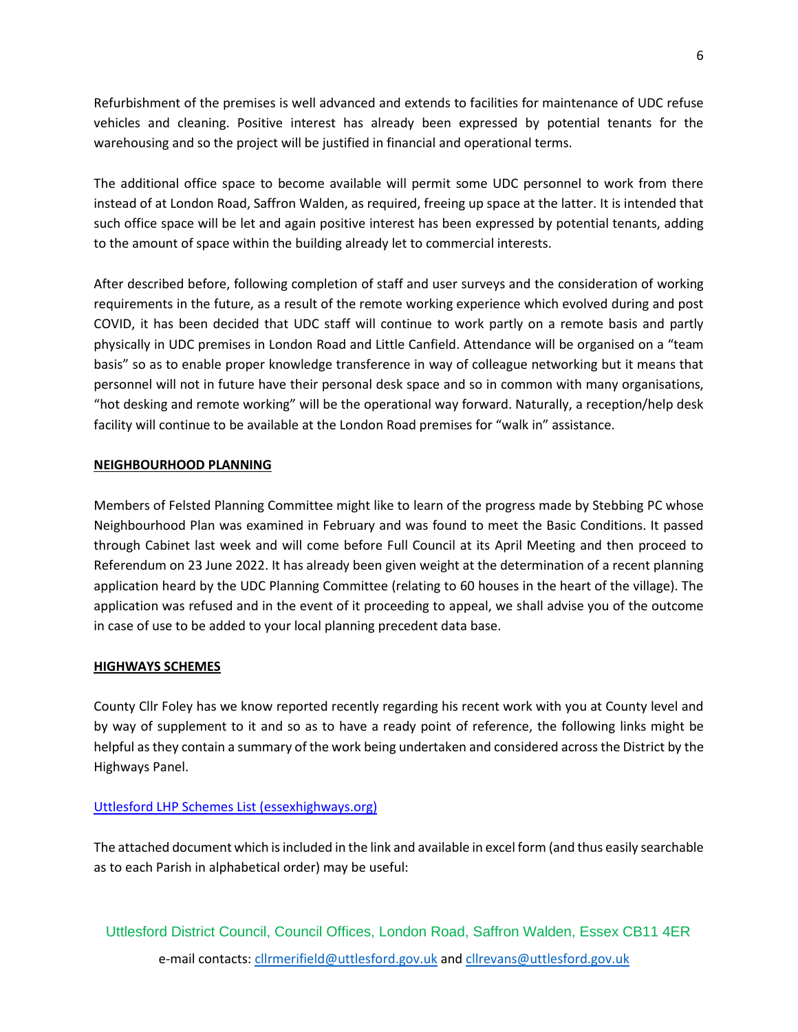Refurbishment of the premises is well advanced and extends to facilities for maintenance of UDC refuse vehicles and cleaning. Positive interest has already been expressed by potential tenants for the warehousing and so the project will be justified in financial and operational terms.

The additional office space to become available will permit some UDC personnel to work from there instead of at London Road, Saffron Walden, as required, freeing up space at the latter. It is intended that such office space will be let and again positive interest has been expressed by potential tenants, adding to the amount of space within the building already let to commercial interests.

After described before, following completion of staff and user surveys and the consideration of working requirements in the future, as a result of the remote working experience which evolved during and post COVID, it has been decided that UDC staff will continue to work partly on a remote basis and partly physically in UDC premises in London Road and Little Canfield. Attendance will be organised on a "team basis" so as to enable proper knowledge transference in way of colleague networking but it means that personnel will not in future have their personal desk space and so in common with many organisations, "hot desking and remote working" will be the operational way forward. Naturally, a reception/help desk facility will continue to be available at the London Road premises for "walk in" assistance.

## **NEIGHBOURHOOD PLANNING**

Members of Felsted Planning Committee might like to learn of the progress made by Stebbing PC whose Neighbourhood Plan was examined in February and was found to meet the Basic Conditions. It passed through Cabinet last week and will come before Full Council at its April Meeting and then proceed to Referendum on 23 June 2022. It has already been given weight at the determination of a recent planning application heard by the UDC Planning Committee (relating to 60 houses in the heart of the village). The application was refused and in the event of it proceeding to appeal, we shall advise you of the outcome in case of use to be added to your local planning precedent data base.

## **HIGHWAYS SCHEMES**

County Cllr Foley has we know reported recently regarding his recent work with you at County level and by way of supplement to it and so as to have a ready point of reference, the following links might be helpful as they contain a summary of the work being undertaken and considered across the District by the Highways Panel.

## [Uttlesford LHP Schemes List \(essexhighways.org\)](https://www.essexhighways.org/uttlesford-lhp-schemes-list)

The attached document which is included in the link and available in excel form (and thus easily searchable as to each Parish in alphabetical order) may be useful: